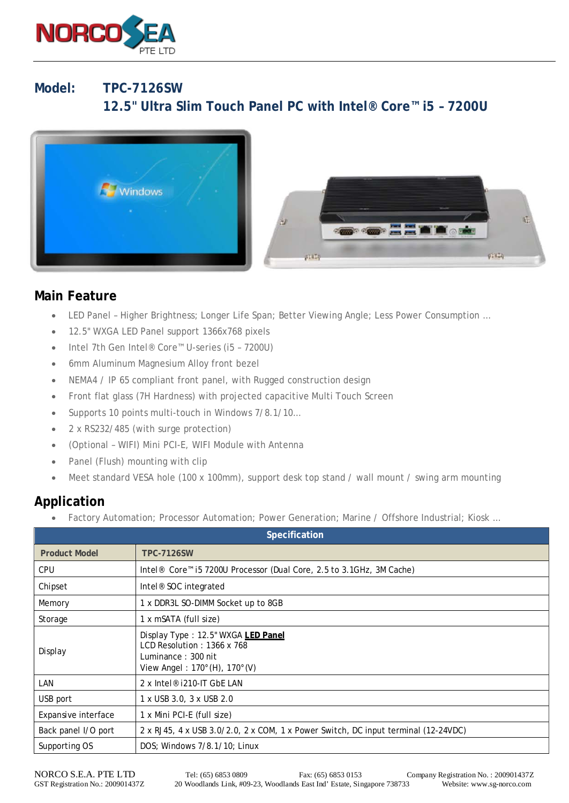

## **Model: TPC-7126SW 12.5" Ultra Slim Touch Panel PC with Intel® Core™ i5 – 7200U**





## **Main Feature**

- LED Panel Higher Brightness; Longer Life Span; Better Viewing Angle; Less Power Consumption …
- 12.5" WXGA LED Panel support 1366x768 pixels
- Intel 7th Gen Intel® Core™ U-series (i5 7200U)
- 6mm Aluminum Magnesium Alloy front bezel
- NEMA4 / IP 65 compliant front panel, with Rugged construction design
- Front flat glass (7H Hardness) with projected capacitive Multi Touch Screen
- Supports 10 points multi-touch in Windows 7/8.1/10...
- 2 x RS232/485 (with surge protection)
- (Optional WIFI) Mini PCI-E, WIFI Module with Antenna
- Panel (Flush) mounting with clip
- Meet standard VESA hole (100 x 100mm), support desk top stand / wall mount / swing arm mounting

## **Application**

• Factory Automation; Processor Automation; Power Generation; Marine / Offshore Industrial; Kiosk …

| Specification        |                                                                                                                                              |
|----------------------|----------------------------------------------------------------------------------------------------------------------------------------------|
| <b>Product Model</b> | <b>TPC-7126SW</b>                                                                                                                            |
| <b>CPU</b>           | Intel <sup>®</sup> Core <sup>™</sup> i5 7200U Processor (Dual Core, 2.5 to 3.1GHz, 3M Cache)                                                 |
| Chipset              | Intel <sup>®</sup> SOC integrated                                                                                                            |
| Memory               | 1 x DDR3L SO-DIMM Socket up to 8GB                                                                                                           |
| Storage              | 1 x mSATA (full size)                                                                                                                        |
| Display              | Display Type: 12.5" WXGA LED Panel<br>LCD Resolution: 1366 x 768<br>Luminance: 300 nit<br>View Angel: 170 $^{\circ}$ (H), 170 $^{\circ}$ (V) |
| LAN                  | 2 x Intel <sup>®</sup> i210-IT GbE LAN                                                                                                       |
| USB port             | 1 x USB 3.0, 3 x USB 2.0                                                                                                                     |
| Expansive interface  | 1 x Mini PCI-E (full size)                                                                                                                   |
| Back panel I/O port  | 2 x RJ45, 4 x USB 3.0/2.0, 2 x COM, 1 x Power Switch, DC input terminal (12-24VDC)                                                           |
| Supporting OS        | DOS; Windows 7/8.1/10; Linux                                                                                                                 |